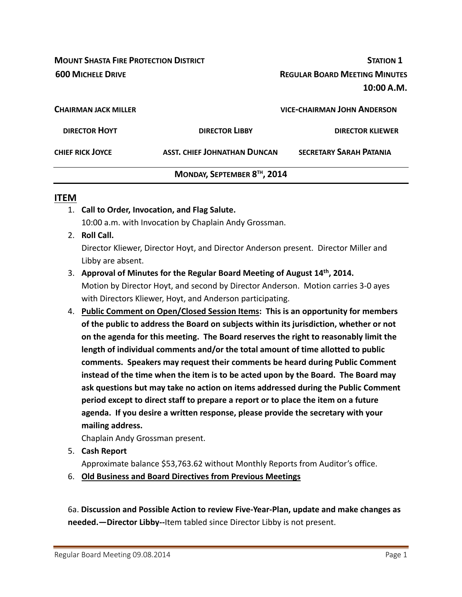**MOUNT SHASTA FIRE PROTECTION DISTRICT STATION 1 600 MICHELE DRIVE REGULAR BOARD MEETING MINUTES 10:00 A.M. CHAIRMAN JACK MILLER VICE‐CHAIRMAN JOHN ANDERSON DIRECTOR HOYT DIRECTOR LIBBY DIRECTOR KLIEWER CHIEF RICK JOYCE ASST. CHIEF JOHNATHAN DUNCAN SECRETARY SARAH PATANIA**

### **MONDAY, SEPTEMBER 8TH, 2014**

#### **ITEM**

- 1. **Call to Order, Invocation, and Flag Salute.** 10:00 a.m. with Invocation by Chaplain Andy Grossman.
- 2. **Roll Call.**

Director Kliewer, Director Hoyt, and Director Anderson present. Director Miller and Libby are absent.

- 3. **Approval of Minutes for the Regular Board Meeting of August 14th, 2014.** Motion by Director Hoyt, and second by Director Anderson. Motion carries 3‐0 ayes with Directors Kliewer, Hoyt, and Anderson participating.
- 4. **Public Comment on Open/Closed Session Items: This is an opportunity for members of the public to address the Board on subjects within its jurisdiction, whether or not on the agenda for this meeting. The Board reserves the right to reasonably limit the length of individual comments and/or the total amount of time allotted to public comments. Speakers may request their comments be heard during Public Comment instead of the time when the item is to be acted upon by the Board. The Board may ask questions but may take no action on items addressed during the Public Comment period except to direct staff to prepare a report or to place the item on a future agenda. If you desire a written response, please provide the secretary with your mailing address.**

Chaplain Andy Grossman present.

- 5. **Cash Report**  Approximate balance \$53,763.62 without Monthly Reports from Auditor's office.
- 6. **Old Business and Board Directives from Previous Meetings**

6a. **Discussion and Possible Action to review Five‐Year‐Plan, update and make changes as needed.—Director Libby‐‐**Item tabled since Director Libby is not present.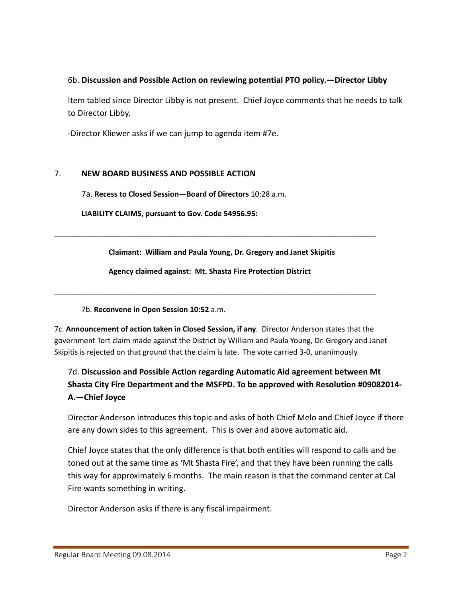#### 6b. **Discussion and Possible Action on reviewing potential PTO policy.—Director Libby**

Item tabled since Director Libby is not present. Chief Joyce comments that he needs to talk to Director Libby.

‐Director Kliewer asks if we can jump to agenda item #7e.

#### 7. **NEW BOARD BUSINESS AND POSSIBLE ACTION**

7a. **Recess to Closed Session—Board of Directors** 10:28 a.m.

**LIABILITY CLAIMS, pursuant to Gov. Code 54956.95:**

**Claimant: William and Paula Young, Dr. Gregory and Janet Skipitis**

\_\_\_\_\_\_\_\_\_\_\_\_\_\_\_\_\_\_\_\_\_\_\_\_\_\_\_\_\_\_\_\_\_\_\_\_\_\_\_\_\_\_\_\_\_\_\_\_\_\_\_\_\_\_\_\_\_\_\_\_\_\_\_\_\_\_\_\_\_\_\_\_\_\_\_\_\_\_

**Agency claimed against: Mt. Shasta Fire Protection District**

\_\_\_\_\_\_\_\_\_\_\_\_\_\_\_\_\_\_\_\_\_\_\_\_\_\_\_\_\_\_\_\_\_\_\_\_\_\_\_\_\_\_\_\_\_\_\_\_\_\_\_\_\_\_\_\_\_\_\_\_\_\_\_\_\_\_\_\_\_\_\_\_\_\_\_\_\_\_

#### 7b. **Reconvene in Open Session 10:52** a.m.

7c. **Announcement of action taken in Closed Session, if any**. Director Anderson states that the government Tort claim made against the District by William and Paula Young, Dr. Gregory and Janet Skipitis is rejected on that ground that the claim is late. The vote carried 3‐0, unanimously.

## 7d. **Discussion and Possible Action regarding Automatic Aid agreement between Mt Shasta City Fire Department and the MSFPD. To be approved with Resolution #09082014‐ A.—Chief Joyce**

Director Anderson introduces this topic and asks of both Chief Melo and Chief Joyce if there are any down sides to this agreement. This is over and above automatic aid.

Chief Joyce states that the only difference is that both entities will respond to calls and be toned out at the same time as 'Mt Shasta Fire', and that they have been running the calls this way for approximately 6 months. The main reason is that the command center at Cal Fire wants something in writing.

Director Anderson asks if there is any fiscal impairment.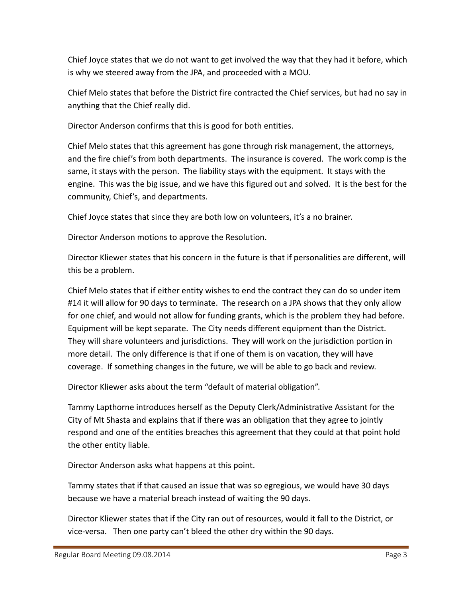Chief Joyce states that we do not want to get involved the way that they had it before, which is why we steered away from the JPA, and proceeded with a MOU.

Chief Melo states that before the District fire contracted the Chief services, but had no say in anything that the Chief really did.

Director Anderson confirms that this is good for both entities.

Chief Melo states that this agreement has gone through risk management, the attorneys, and the fire chief's from both departments. The insurance is covered. The work comp is the same, it stays with the person. The liability stays with the equipment. It stays with the engine. This was the big issue, and we have this figured out and solved. It is the best for the community, Chief's, and departments.

Chief Joyce states that since they are both low on volunteers, it's a no brainer.

Director Anderson motions to approve the Resolution.

Director Kliewer states that his concern in the future is that if personalities are different, will this be a problem.

Chief Melo states that if either entity wishes to end the contract they can do so under item #14 it will allow for 90 days to terminate. The research on a JPA shows that they only allow for one chief, and would not allow for funding grants, which is the problem they had before. Equipment will be kept separate. The City needs different equipment than the District. They will share volunteers and jurisdictions. They will work on the jurisdiction portion in more detail. The only difference is that if one of them is on vacation, they will have coverage. If something changes in the future, we will be able to go back and review.

Director Kliewer asks about the term "default of material obligation".

Tammy Lapthorne introduces herself as the Deputy Clerk/Administrative Assistant for the City of Mt Shasta and explains that if there was an obligation that they agree to jointly respond and one of the entities breaches this agreement that they could at that point hold the other entity liable.

Director Anderson asks what happens at this point.

Tammy states that if that caused an issue that was so egregious, we would have 30 days because we have a material breach instead of waiting the 90 days.

Director Kliewer states that if the City ran out of resources, would it fall to the District, or vice‐versa. Then one party can't bleed the other dry within the 90 days.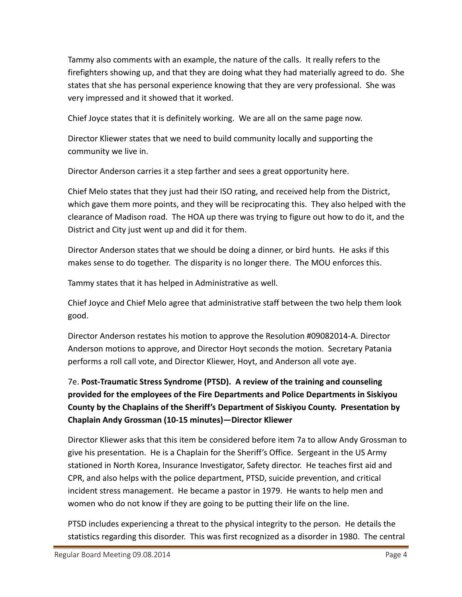Tammy also comments with an example, the nature of the calls. It really refers to the firefighters showing up, and that they are doing what they had materially agreed to do. She states that she has personal experience knowing that they are very professional. She was very impressed and it showed that it worked.

Chief Joyce states that it is definitely working. We are all on the same page now.

Director Kliewer states that we need to build community locally and supporting the community we live in.

Director Anderson carries it a step farther and sees a great opportunity here.

Chief Melo states that they just had their ISO rating, and received help from the District, which gave them more points, and they will be reciprocating this. They also helped with the clearance of Madison road. The HOA up there was trying to figure out how to do it, and the District and City just went up and did it for them.

Director Anderson states that we should be doing a dinner, or bird hunts. He asks if this makes sense to do together. The disparity is no longer there. The MOU enforces this.

Tammy states that it has helped in Administrative as well.

Chief Joyce and Chief Melo agree that administrative staff between the two help them look good.

Director Anderson restates his motion to approve the Resolution #09082014‐A. Director Anderson motions to approve, and Director Hoyt seconds the motion. Secretary Patania performs a roll call vote, and Director Kliewer, Hoyt, and Anderson all vote aye.

# 7e. **Post‐Traumatic Stress Syndrome (PTSD). A review of the training and counseling provided for the employees of the Fire Departments and Police Departments in Siskiyou County by the Chaplains of the Sheriff's Department of Siskiyou County. Presentation by Chaplain Andy Grossman (10‐15 minutes)—Director Kliewer**

Director Kliewer asks that this item be considered before item 7a to allow Andy Grossman to give his presentation. He is a Chaplain for the Sheriff's Office. Sergeant in the US Army stationed in North Korea, Insurance Investigator, Safety director. He teaches first aid and CPR, and also helps with the police department, PTSD, suicide prevention, and critical incident stress management. He became a pastor in 1979. He wants to help men and women who do not know if they are going to be putting their life on the line.

PTSD includes experiencing a threat to the physical integrity to the person. He details the statistics regarding this disorder. This was first recognized as a disorder in 1980. The central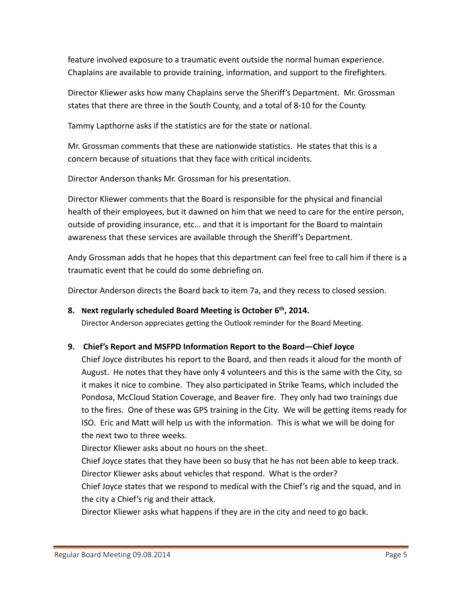feature involved exposure to a traumatic event outside the normal human experience. Chaplains are available to provide training, information, and support to the firefighters.

Director Kliewer asks how many Chaplains serve the Sheriff's Department. Mr. Grossman states that there are three in the South County, and a total of 8‐10 for the County.

Tammy Lapthorne asks if the statistics are for the state or national.

Mr. Grossman comments that these are nationwide statistics. He states that this is a concern because of situations that they face with critical incidents.

Director Anderson thanks Mr. Grossman for his presentation.

Director Kliewer comments that the Board is responsible for the physical and financial health of their employees, but it dawned on him that we need to care for the entire person, outside of providing insurance, etc… and that it is important for the Board to maintain awareness that these services are available through the Sheriff's Department.

Andy Grossman adds that he hopes that this department can feel free to call him if there is a traumatic event that he could do some debriefing on.

Director Anderson directs the Board back to item 7a, and they recess to closed session.

#### **8. Next regularly scheduled Board Meeting is October 6th, 2014.**

Director Anderson appreciates getting the Outlook reminder for the Board Meeting.

#### **9. Chief's Report and MSFPD Information Report to the Board—Chief Joyce**

Chief Joyce distributes his report to the Board, and then reads it aloud for the month of August. He notes that they have only 4 volunteers and this is the same with the City, so it makes it nice to combine. They also participated in Strike Teams, which included the Pondosa, McCloud Station Coverage, and Beaver fire. They only had two trainings due to the fires. One of these was GPS training in the City. We will be getting items ready for ISO. Eric and Matt will help us with the information. This is what we will be doing for the next two to three weeks.

Director Kliewer asks about no hours on the sheet.

Chief Joyce states that they have been so busy that he has not been able to keep track. Director Kliewer asks about vehicles that respond. What is the order?

Chief Joyce states that we respond to medical with the Chief's rig and the squad, and in the city a Chief's rig and their attack.

Director Kliewer asks what happens if they are in the city and need to go back.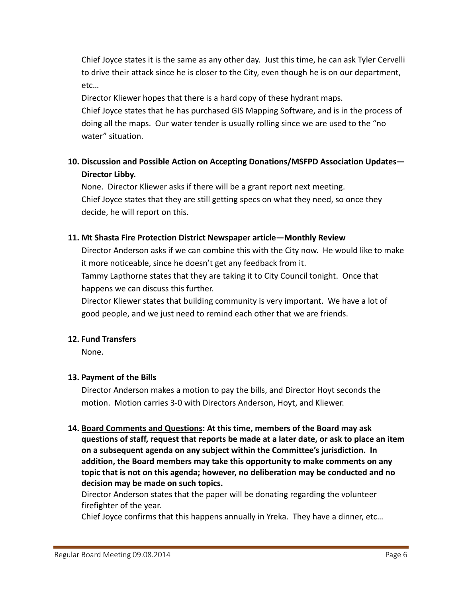Chief Joyce states it is the same as any other day. Just this time, he can ask Tyler Cervelli to drive their attack since he is closer to the City, even though he is on our department, etc…

Director Kliewer hopes that there is a hard copy of these hydrant maps. Chief Joyce states that he has purchased GIS Mapping Software, and is in the process of doing all the maps. Our water tender is usually rolling since we are used to the "no water" situation.

## **10. Discussion and Possible Action on Accepting Donations/MSFPD Association Updates— Director Libby.**

None. Director Kliewer asks if there will be a grant report next meeting. Chief Joyce states that they are still getting specs on what they need, so once they decide, he will report on this.

#### **11. Mt Shasta Fire Protection District Newspaper article—Monthly Review**

Director Anderson asks if we can combine this with the City now. He would like to make it more noticeable, since he doesn't get any feedback from it.

Tammy Lapthorne states that they are taking it to City Council tonight. Once that happens we can discuss this further.

Director Kliewer states that building community is very important. We have a lot of good people, and we just need to remind each other that we are friends.

#### **12. Fund Transfers**

None.

#### **13. Payment of the Bills**

Director Anderson makes a motion to pay the bills, and Director Hoyt seconds the motion. Motion carries 3‐0 with Directors Anderson, Hoyt, and Kliewer.

### **14. Board Comments and Questions: At this time, members of the Board may ask questions of staff, request that reports be made at a later date, or ask to place an item on a subsequent agenda on any subject within the Committee's jurisdiction. In addition, the Board members may take this opportunity to make comments on any topic that is not on this agenda; however, no deliberation may be conducted and no decision may be made on such topics.**

Director Anderson states that the paper will be donating regarding the volunteer firefighter of the year.

Chief Joyce confirms that this happens annually in Yreka. They have a dinner, etc…